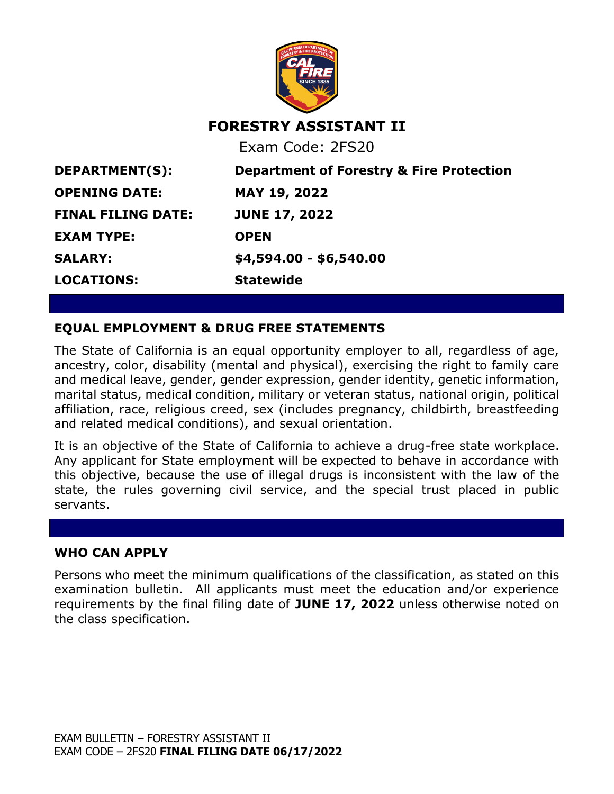

# **FORESTRY ASSISTANT II**

Exam Code: 2FS20

**EXAM TYPE: OPEN LOCATIONS: Statewide**

**DEPARTMENT(S): Department of Forestry & Fire Protection OPENING DATE: MAY 19, 2022 FINAL FILING DATE: JUNE 17, 2022 SALARY: \$4,594.00 - \$6,540.00**

## **EQUAL EMPLOYMENT & DRUG FREE STATEMENTS**

The State of California is an equal opportunity employer to all, regardless of age, ancestry, color, disability (mental and physical), exercising the right to family care and medical leave, gender, gender expression, gender identity, genetic information, marital status, medical condition, military or veteran status, national origin, political affiliation, race, religious creed, sex (includes pregnancy, childbirth, breastfeeding and related medical conditions), and sexual orientation.

It is an objective of the State of California to achieve a drug-free state workplace. Any applicant for State employment will be expected to behave in accordance with this objective, because the use of illegal drugs is inconsistent with the law of the state, the rules governing civil service, and the special trust placed in public servants.

#### **WHO CAN APPLY**

Persons who meet the minimum qualifications of the classification, as stated on this examination bulletin. All applicants must meet the education and/or experience requirements by the final filing date of **JUNE 17, 2022** unless otherwise noted on the class specification.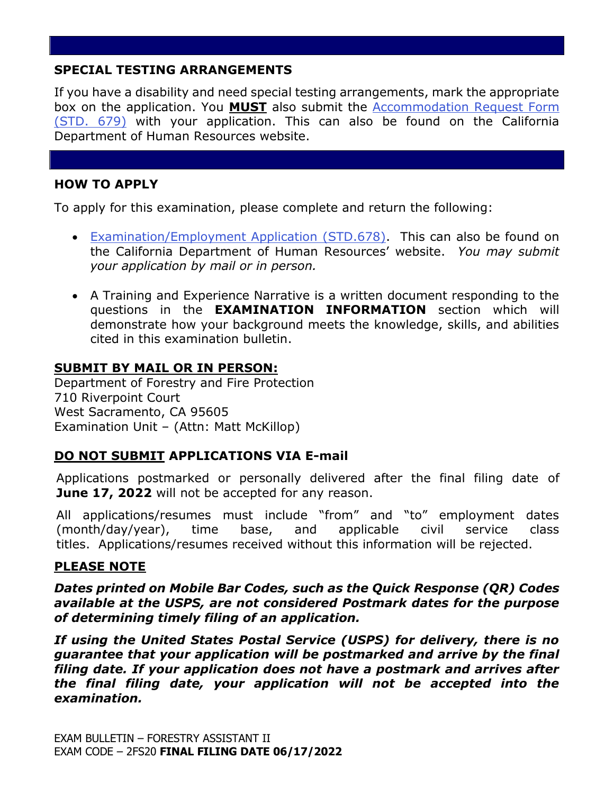## **SPECIAL TESTING ARRANGEMENTS**

If you have a disability and need special testing arrangements, mark the appropriate box on the application. You **MUST** also submit the [Accommodation Request Form](https://jobs.ca.gov/pdf/STD679.pdf)  [\(STD. 679\)](https://jobs.ca.gov/pdf/STD679.pdf) with your application. This can also be found on the California Department of Human Resources website.

## **HOW TO APPLY**

To apply for this examination, please complete and return the following:

- [Examination/Employment Application \(STD.678\).](https://jobs.ca.gov/pdf/std678.pdf) This can also be found on the California Department of Human Resources' website. *You may submit your application by mail or in person.*
- A Training and Experience Narrative is a written document responding to the questions in the **EXAMINATION INFORMATION** section which will demonstrate how your background meets the knowledge, skills, and abilities cited in this examination bulletin.

## **SUBMIT BY MAIL OR IN PERSON:**

Department of Forestry and Fire Protection 710 Riverpoint Court West Sacramento, CA 95605 Examination Unit – (Attn: Matt McKillop)

### **DO NOT SUBMIT APPLICATIONS VIA E-mail**

Applications postmarked or personally delivered after the final filing date of **June 17, 2022** will not be accepted for any reason.

All applications/resumes must include "from" and "to" employment dates (month/day/year), time base, and applicable civil service class titles. Applications/resumes received without this information will be rejected.

### **PLEASE NOTE**

*Dates printed on Mobile Bar Codes, such as the Quick Response (QR) Codes available at the USPS, are not considered Postmark dates for the purpose of determining timely filing of an application.*

*If using the United States Postal Service (USPS) for delivery, there is no guarantee that your application will be postmarked and arrive by the final filing date. If your application does not have a postmark and arrives after the final filing date, your application will not be accepted into the examination.*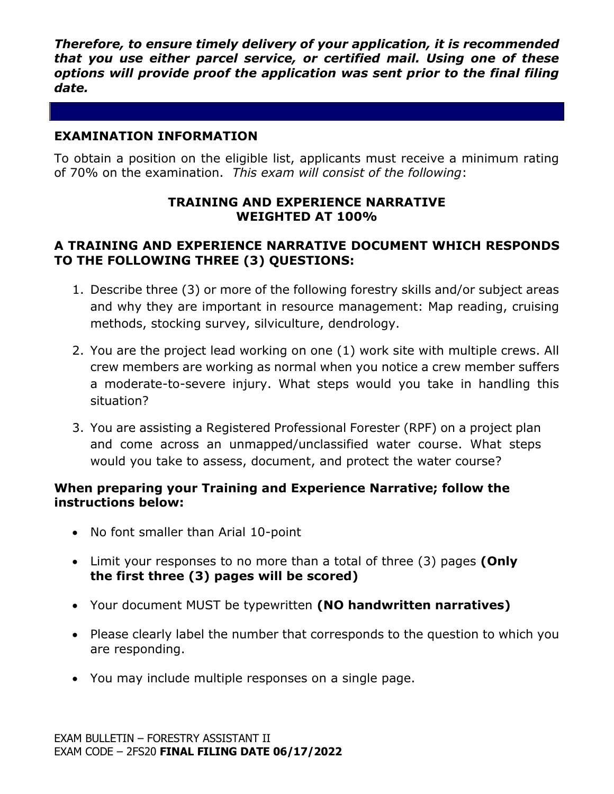*Therefore, to ensure timely delivery of your application, it is recommended that you use either parcel service, or certified mail. Using one of these options will provide proof the application was sent prior to the final filing date.*

## **EXAMINATION INFORMATION**

To obtain a position on the eligible list, applicants must receive a minimum rating of 70% on the examination. *This exam will consist of the following*:

### **TRAINING AND EXPERIENCE NARRATIVE WEIGHTED AT 100%**

## **A TRAINING AND EXPERIENCE NARRATIVE DOCUMENT WHICH RESPONDS TO THE FOLLOWING THREE (3) QUESTIONS:**

- 1. Describe three (3) or more of the following forestry skills and/or subject areas and why they are important in resource management: Map reading, cruising methods, stocking survey, silviculture, dendrology.
- 2. You are the project lead working on one (1) work site with multiple crews. All crew members are working as normal when you notice a crew member suffers a moderate-to-severe injury. What steps would you take in handling this situation?
- 3. You are assisting a Registered Professional Forester (RPF) on a project plan and come across an unmapped/unclassified water course. What steps would you take to assess, document, and protect the water course?

### **When preparing your Training and Experience Narrative; follow the instructions below:**

- No font smaller than Arial 10-point
- Limit your responses to no more than a total of three (3) pages **(Only the first three (3) pages will be scored)**
- Your document MUST be typewritten **(NO handwritten narratives)**
- Please clearly label the number that corresponds to the question to which you are responding.
- You may include multiple responses on a single page.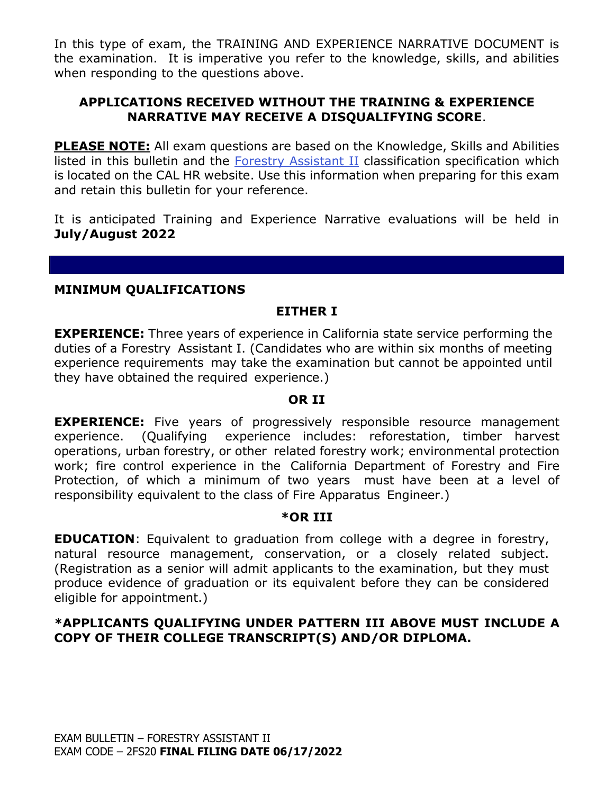In this type of exam, the TRAINING AND EXPERIENCE NARRATIVE DOCUMENT is the examination. It is imperative you refer to the knowledge, skills, and abilities when responding to the questions above.

## **APPLICATIONS RECEIVED WITHOUT THE TRAINING & EXPERIENCE NARRATIVE MAY RECEIVE A DISQUALIFYING SCORE**.

**PLEASE NOTE:** All exam questions are based on the Knowledge, Skills and Abilities listed in this bulletin and the [Forestry Assistant II](https://www.calhr.ca.gov/state-hr-professionals/Pages/1085.aspx) classification specification which is located on the CAL HR website. Use this information when preparing for this exam and retain this bulletin for your reference.

It is anticipated Training and Experience Narrative evaluations will be held in **July/August 2022**

#### **MINIMUM QUALIFICATIONS**

## **EITHER I**

**EXPERIENCE:** Three years of experience in California state service performing the duties of a Forestry Assistant I. (Candidates who are within six months of meeting experience requirements may take the examination but cannot be appointed until they have obtained the required experience.)

#### **OR II**

**EXPERIENCE:** Five years of progressively responsible resource management experience. (Qualifying experience includes: reforestation, timber harvest operations, urban forestry, or other related forestry work; environmental protection work; fire control experience in the California Department of Forestry and Fire Protection, of which a minimum of two years must have been at a level of responsibility equivalent to the class of Fire Apparatus Engineer.)

#### **\*OR III**

**EDUCATION:** Equivalent to graduation from college with a degree in forestry, natural resource management, conservation, or a closely related subject. (Registration as a senior will admit applicants to the examination, but they must produce evidence of graduation or its equivalent before they can be considered eligible for appointment.)

## **\*APPLICANTS QUALIFYING UNDER PATTERN III ABOVE MUST INCLUDE A COPY OF THEIR COLLEGE TRANSCRIPT(S) AND/OR DIPLOMA.**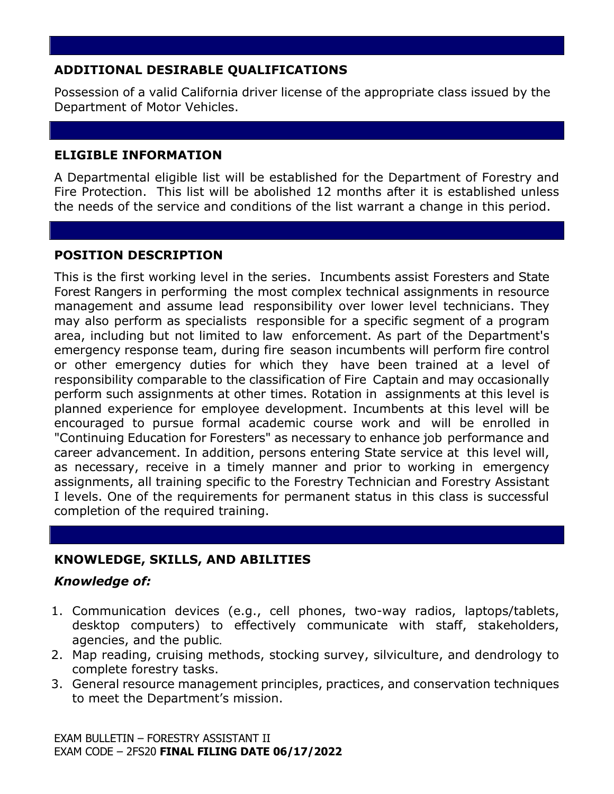# **ADDITIONAL DESIRABLE QUALIFICATIONS**

Possession of a valid California driver license of the appropriate class issued by the Department of Motor Vehicles.

## **ELIGIBLE INFORMATION**

A Departmental eligible list will be established for the Department of Forestry and Fire Protection. This list will be abolished 12 months after it is established unless the needs of the service and conditions of the list warrant a change in this period.

## **POSITION DESCRIPTION**

This is the first working level in the series. Incumbents assist Foresters and State Forest Rangers in performing the most complex technical assignments in resource management and assume lead responsibility over lower level technicians. They may also perform as specialists responsible for a specific segment of a program area, including but not limited to law enforcement. As part of the Department's emergency response team, during fire season incumbents will perform fire control or other emergency duties for which they have been trained at a level of responsibility comparable to the classification of Fire Captain and may occasionally perform such assignments at other times. Rotation in assignments at this level is planned experience for employee development. Incumbents at this level will be encouraged to pursue formal academic course work and will be enrolled in "Continuing Education for Foresters" as necessary to enhance job performance and career advancement. In addition, persons entering State service at this level will, as necessary, receive in a timely manner and prior to working in emergency assignments, all training specific to the Forestry Technician and Forestry Assistant I levels. One of the requirements for permanent status in this class is successful completion of the required training.

## **KNOWLEDGE, SKILLS, AND ABILITIES**

## *Knowledge of:*

- 1. Communication devices (e.g., cell phones, two-way radios, laptops/tablets, desktop computers) to effectively communicate with staff, stakeholders, agencies, and the public.
- 2. Map reading, cruising methods, stocking survey, silviculture, and dendrology to complete forestry tasks.
- 3. General resource management principles, practices, and conservation techniques to meet the Department's mission.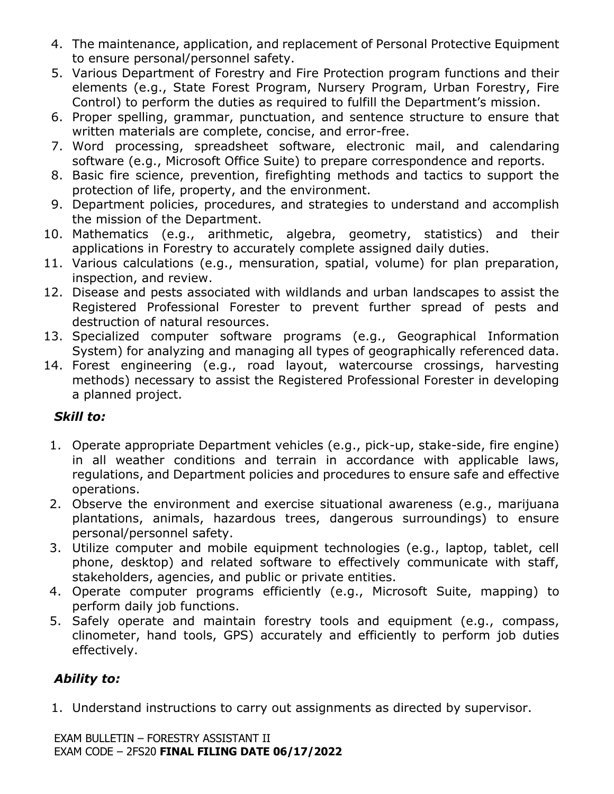- 4. The maintenance, application, and replacement of Personal Protective Equipment to ensure personal/personnel safety.
- 5. Various Department of Forestry and Fire Protection program functions and their elements (e.g., State Forest Program, Nursery Program, Urban Forestry, Fire Control) to perform the duties as required to fulfill the Department's mission.
- 6. Proper spelling, grammar, punctuation, and sentence structure to ensure that written materials are complete, concise, and error-free.
- 7. Word processing, spreadsheet software, electronic mail, and calendaring software (e.g., Microsoft Office Suite) to prepare correspondence and reports.
- 8. Basic fire science, prevention, firefighting methods and tactics to support the protection of life, property, and the environment.
- 9. Department policies, procedures, and strategies to understand and accomplish the mission of the Department.
- 10. Mathematics (e.g., arithmetic, algebra, geometry, statistics) and their applications in Forestry to accurately complete assigned daily duties.
- 11. Various calculations (e.g., mensuration, spatial, volume) for plan preparation, inspection, and review.
- 12. Disease and pests associated with wildlands and urban landscapes to assist the Registered Professional Forester to prevent further spread of pests and destruction of natural resources.
- 13. Specialized computer software programs (e.g., Geographical Information System) for analyzing and managing all types of geographically referenced data.
- 14. Forest engineering (e.g., road layout, watercourse crossings, harvesting methods) necessary to assist the Registered Professional Forester in developing a planned project.

## *Skill to:*

- 1. Operate appropriate Department vehicles (e.g., pick-up, stake-side, fire engine) in all weather conditions and terrain in accordance with applicable laws, regulations, and Department policies and procedures to ensure safe and effective operations.
- 2. Observe the environment and exercise situational awareness (e.g., marijuana plantations, animals, hazardous trees, dangerous surroundings) to ensure personal/personnel safety.
- 3. Utilize computer and mobile equipment technologies (e.g., laptop, tablet, cell phone, desktop) and related software to effectively communicate with staff, stakeholders, agencies, and public or private entities.
- 4. Operate computer programs efficiently (e.g., Microsoft Suite, mapping) to perform daily job functions.
- 5. Safely operate and maintain forestry tools and equipment (e.g., compass, clinometer, hand tools, GPS) accurately and efficiently to perform job duties effectively.

# *Ability to:*

1. Understand instructions to carry out assignments as directed by supervisor.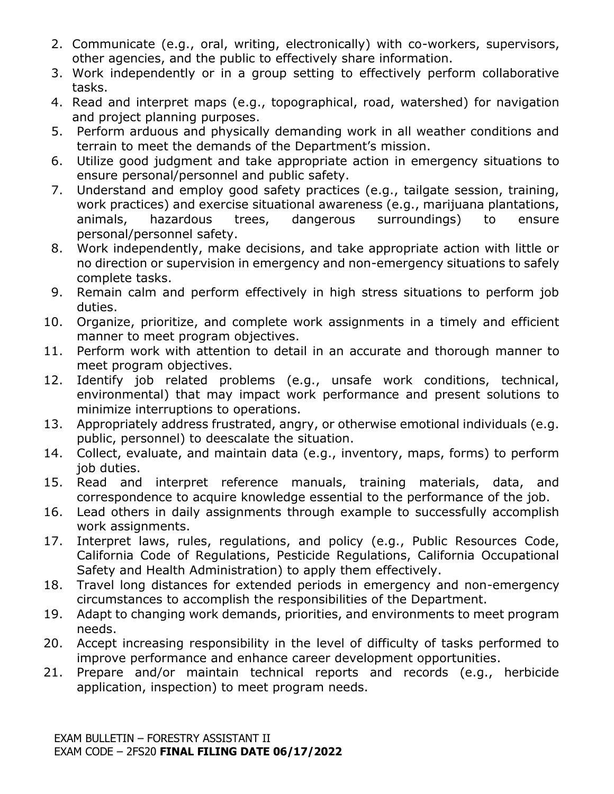- 2. Communicate (e.g., oral, writing, electronically) with co-workers, supervisors, other agencies, and the public to effectively share information.
- 3. Work independently or in a group setting to effectively perform collaborative tasks.
- 4. Read and interpret maps (e.g., topographical, road, watershed) for navigation and project planning purposes.
- 5. Perform arduous and physically demanding work in all weather conditions and terrain to meet the demands of the Department's mission.
- 6. Utilize good judgment and take appropriate action in emergency situations to ensure personal/personnel and public safety.
- 7. Understand and employ good safety practices (e.g., tailgate session, training, work practices) and exercise situational awareness (e.g., marijuana plantations, animals, hazardous trees, dangerous surroundings) to ensure personal/personnel safety.
- 8. Work independently, make decisions, and take appropriate action with little or no direction or supervision in emergency and non-emergency situations to safely complete tasks.
- 9. Remain calm and perform effectively in high stress situations to perform job duties.
- 10. Organize, prioritize, and complete work assignments in a timely and efficient manner to meet program objectives.
- 11. Perform work with attention to detail in an accurate and thorough manner to meet program objectives.
- 12. Identify job related problems (e.g., unsafe work conditions, technical, environmental) that may impact work performance and present solutions to minimize interruptions to operations.
- 13. Appropriately address frustrated, angry, or otherwise emotional individuals (e.g. public, personnel) to deescalate the situation.
- 14. Collect, evaluate, and maintain data (e.g., inventory, maps, forms) to perform job duties.
- 15. Read and interpret reference manuals, training materials, data, and correspondence to acquire knowledge essential to the performance of the job.
- 16. Lead others in daily assignments through example to successfully accomplish work assignments.
- 17. Interpret laws, rules, regulations, and policy (e.g., Public Resources Code, California Code of Regulations, Pesticide Regulations, California Occupational Safety and Health Administration) to apply them effectively.
- 18. Travel long distances for extended periods in emergency and non-emergency circumstances to accomplish the responsibilities of the Department.
- 19. Adapt to changing work demands, priorities, and environments to meet program needs.
- 20. Accept increasing responsibility in the level of difficulty of tasks performed to improve performance and enhance career development opportunities.
- 21. Prepare and/or maintain technical reports and records (e.g., herbicide application, inspection) to meet program needs.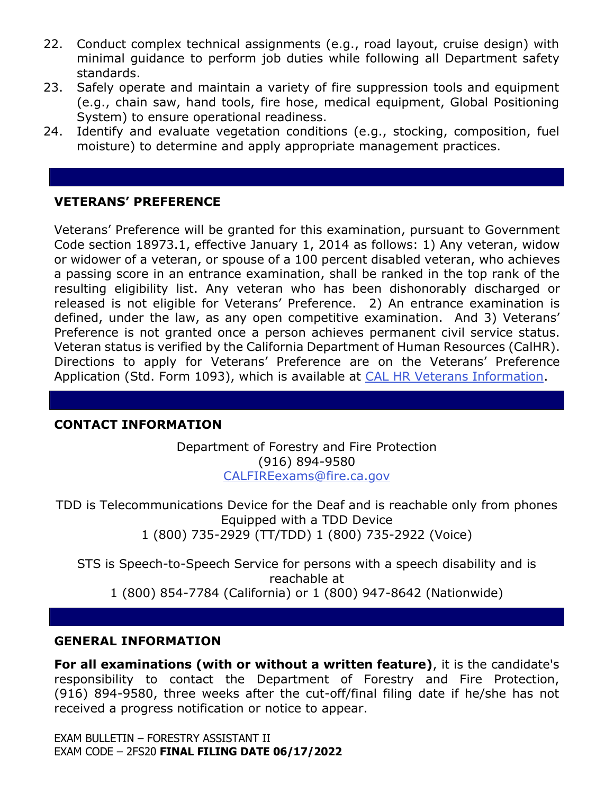- 22. Conduct complex technical assignments (e.g., road layout, cruise design) with minimal guidance to perform job duties while following all Department safety standards.
- 23. Safely operate and maintain a variety of fire suppression tools and equipment (e.g., chain saw, hand tools, fire hose, medical equipment, Global Positioning System) to ensure operational readiness.
- 24. Identify and evaluate vegetation conditions (e.g., stocking, composition, fuel moisture) to determine and apply appropriate management practices.

## **VETERANS' PREFERENCE**

Veterans' Preference will be granted for this examination, pursuant to Government Code section 18973.1, effective January 1, 2014 as follows: 1) Any veteran, widow or widower of a veteran, or spouse of a 100 percent disabled veteran, who achieves a passing score in an entrance examination, shall be ranked in the top rank of the resulting eligibility list. Any veteran who has been dishonorably discharged or released is not eligible for Veterans' Preference. 2) An entrance examination is defined, under the law, as any open competitive examination. And 3) Veterans' Preference is not granted once a person achieves permanent civil service status. Veteran status is verified by the California Department of Human Resources (CalHR). Directions to apply for Veterans' Preference are on the Veterans' Preference Application (Std. Form 1093), which is available at [CAL HR Veterans Information.](https://jobs.ca.gov/CalHRPublic/Landing/Jobs/VeteransInformation.aspx)

### **CONTACT INFORMATION**

Department of Forestry and Fire Protection (916) 894-9580 [CALFIREexams@fire.ca.gov](file:///C:/Users/astewart/AppData/Local/Microsoft/Windows/INetCache/Content.Outlook/ZFZMO45M/CALFIREexams@fire.ca.gov)

TDD is Telecommunications Device for the Deaf and is reachable only from phones Equipped with a TDD Device 1 (800) 735-2929 (TT/TDD) 1 (800) 735-2922 (Voice)

STS is Speech-to-Speech Service for persons with a speech disability and is reachable at 1 (800) 854-7784 (California) or 1 (800) 947-8642 (Nationwide)

#### **GENERAL INFORMATION**

**For all examinations (with or without a written feature)**, it is the candidate's responsibility to contact the Department of Forestry and Fire Protection, (916) 894-9580, three weeks after the cut-off/final filing date if he/she has not received a progress notification or notice to appear.

EXAM BULLETIN – FORESTRY ASSISTANT II EXAM CODE – 2FS20 **FINAL FILING DATE 06/17/2022**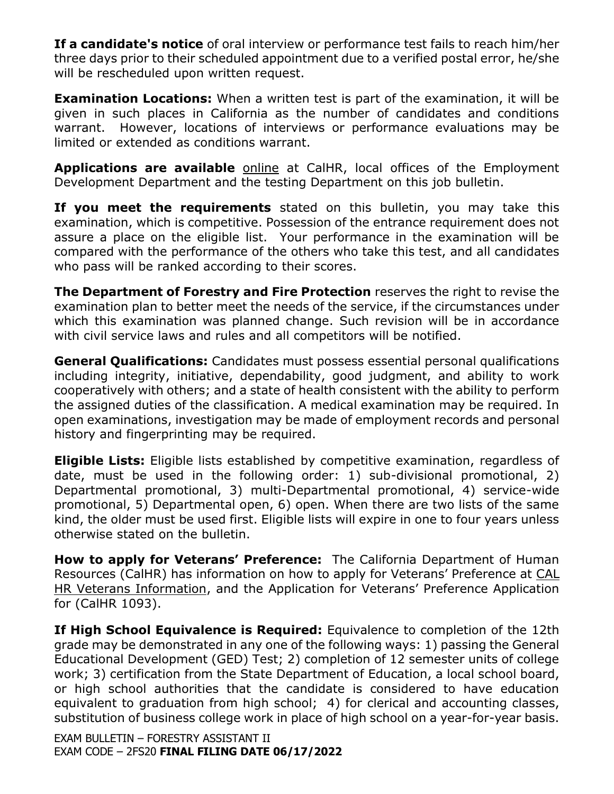**If a candidate's notice** of oral interview or performance test fails to reach him/her three days prior to their scheduled appointment due to a verified postal error, he/she will be rescheduled upon written request.

**Examination Locations:** When a written test is part of the examination, it will be given in such places in California as the number of candidates and conditions warrant. However, locations of interviews or performance evaluations may be limited or extended as conditions warrant.

**Applications are available** [online](https://jobs.ca.gov/pdf/std678.pdf) at CalHR, local offices of the Employment Development Department and the testing Department on this job bulletin.

**If you meet the requirements** stated on this bulletin, you may take this examination, which is competitive. Possession of the entrance requirement does not assure a place on the eligible list. Your performance in the examination will be compared with the performance of the others who take this test, and all candidates who pass will be ranked according to their scores.

**The Department of Forestry and Fire Protection** reserves the right to revise the examination plan to better meet the needs of the service, if the circumstances under which this examination was planned change. Such revision will be in accordance with civil service laws and rules and all competitors will be notified.

**General Qualifications:** Candidates must possess essential personal qualifications including integrity, initiative, dependability, good judgment, and ability to work cooperatively with others; and a state of health consistent with the ability to perform the assigned duties of the classification. A medical examination may be required. In open examinations, investigation may be made of employment records and personal history and fingerprinting may be required.

**Eligible Lists:** Eligible lists established by competitive examination, regardless of date, must be used in the following order: 1) sub-divisional promotional, 2) Departmental promotional, 3) multi-Departmental promotional, 4) service-wide promotional, 5) Departmental open, 6) open. When there are two lists of the same kind, the older must be used first. Eligible lists will expire in one to four years unless otherwise stated on the bulletin.

**How to apply for Veterans' Preference:** The California Department of Human Resources (CalHR) has information on how to apply for Veterans' Preference at [CAL](https://jobs.ca.gov/CalHRPublic/Landing/Jobs/VeteransInformation.aspx)  [HR Veterans Information](https://jobs.ca.gov/CalHRPublic/Landing/Jobs/VeteransInformation.aspx), and the Application for Veterans' Preference Application for (CalHR 1093).

**If High School Equivalence is Required:** Equivalence to completion of the 12th grade may be demonstrated in any one of the following ways: 1) passing the General Educational Development (GED) Test; 2) completion of 12 semester units of college work; 3) certification from the State Department of Education, a local school board, or high school authorities that the candidate is considered to have education equivalent to graduation from high school; 4) for clerical and accounting classes, substitution of business college work in place of high school on a year-for-year basis.